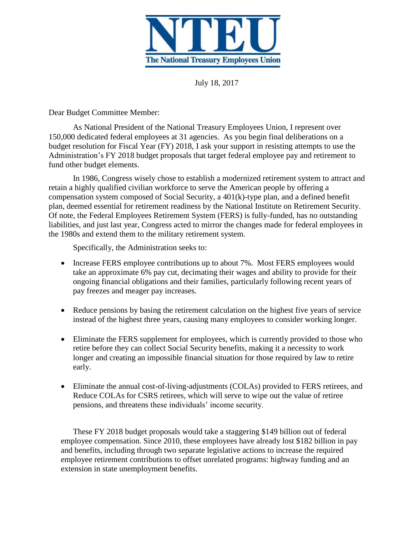

July 18, 2017

Dear Budget Committee Member:

As National President of the National Treasury Employees Union, I represent over 150,000 dedicated federal employees at 31 agencies. As you begin final deliberations on a budget resolution for Fiscal Year (FY) 2018, I ask your support in resisting attempts to use the Administration's FY 2018 budget proposals that target federal employee pay and retirement to fund other budget elements.

In 1986, Congress wisely chose to establish a modernized retirement system to attract and retain a highly qualified civilian workforce to serve the American people by offering a compensation system composed of Social Security, a 401(k)-type plan, and a defined benefit plan, deemed essential for retirement readiness by the National Institute on Retirement Security. Of note, the Federal Employees Retirement System (FERS) is fully-funded, has no outstanding liabilities, and just last year, Congress acted to mirror the changes made for federal employees in the 1980s and extend them to the military retirement system.

Specifically, the Administration seeks to:

- Increase FERS employee contributions up to about 7%. Most FERS employees would take an approximate 6% pay cut, decimating their wages and ability to provide for their ongoing financial obligations and their families, particularly following recent years of pay freezes and meager pay increases.
- Reduce pensions by basing the retirement calculation on the highest five years of service instead of the highest three years, causing many employees to consider working longer.
- Eliminate the FERS supplement for employees, which is currently provided to those who retire before they can collect Social Security benefits, making it a necessity to work longer and creating an impossible financial situation for those required by law to retire early.
- Eliminate the annual cost-of-living-adjustments (COLAs) provided to FERS retirees, and Reduce COLAs for CSRS retirees, which will serve to wipe out the value of retiree pensions, and threatens these individuals' income security.

These FY 2018 budget proposals would take a staggering \$149 billion out of federal employee compensation. Since 2010, these employees have already lost \$182 billion in pay and benefits, including through two separate legislative actions to increase the required employee retirement contributions to offset unrelated programs: highway funding and an extension in state unemployment benefits.